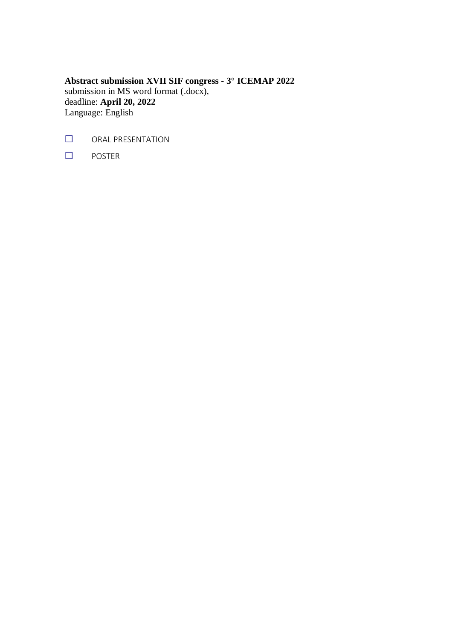**Abstract submission XVII SIF congress - 3° ICEMAP 2022** submission in MS word format (.docx), deadline: **April 20, 2022** Language: English

- **□** ORAL PRESENTATION
- **□** POSTER